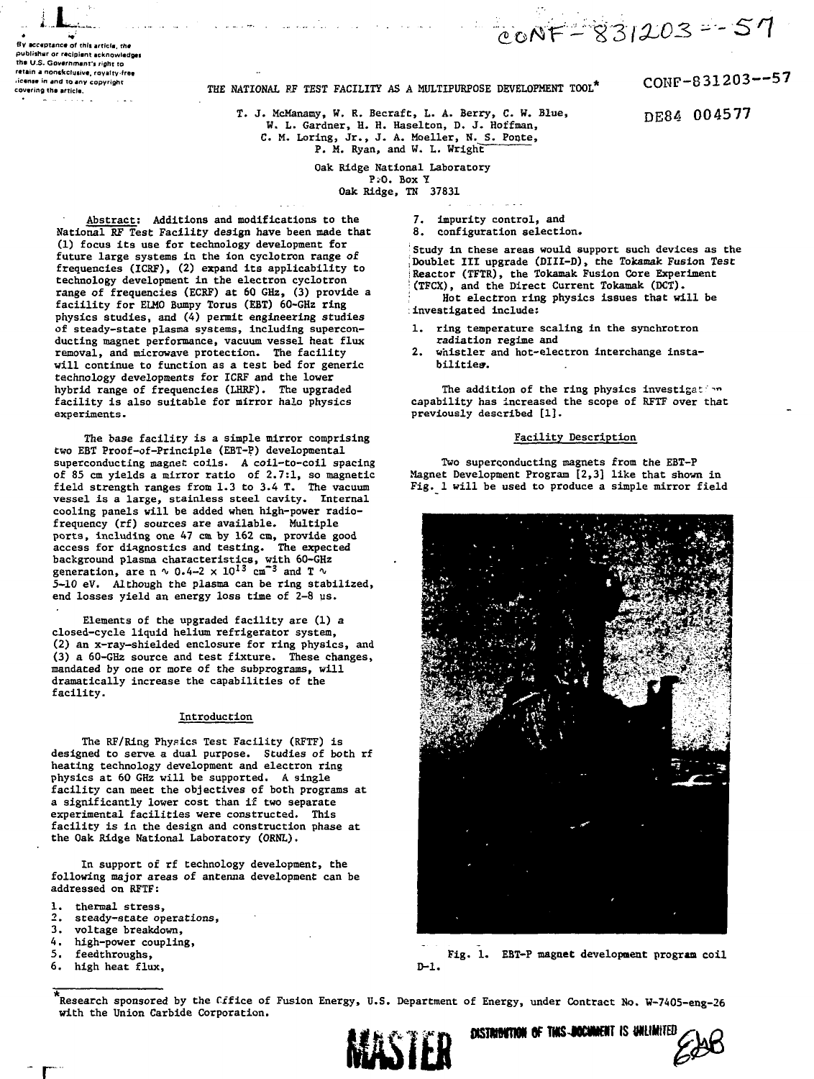**By acceptance of this article, the publishar or r«cipiim acknowledges the U.S. Government's right to rttiin e nonsfccluiive, royattv-fret** *icense in and to any copyright*<br>covering the article.

# THE NATIONAL RF TEST FACILITY AS A MULTIPURPOSE DEVELOPMENT TOOL<sup>\*</sup>

T. J. McManamy, W. R. Becraft, L. A. Berry, C. W. Blue, W. L. Gardner, H. H. Haselton, D. J. Hoffman, C. M. Loring, Jr., J. A. Moeller, N. S. Ponte,

P. M. Ryan, and W. L. Wright"

Oak Ridge National Laboratory P:0. Box Y Oak Ridge, TN 37831

 $\frac{\text{Abstract:}}{\text{R}}$  Additions and modifications to the 7.<br>Anal RF Fest Facility design have been made that 8. National RF Test Facility design have been made that (1) focus its use for technology development for future large systems in the ion cyclotron range of frequencies (ICRF), (2) expand its applicability to technology development in the electron cyclotron range of frequencies (ECRF) at 60 GHz, (3) provide a faciility for ELMO Bumpy Torus (EBT) 60-GHz ring physics studies, and (4) permit engineering studies of steady-state plasma systems, including superconducting magnet performance, vacuum vessel heat flux removal, and microwave protection. The facility will continue to function as a test bed for generic technology developments for ICRF and the lower hybrid range of frequencies (LHRF). The upgraded facility is also suitable for mirror halo physics experiments.

The base facility is a simple mirror comprising two EBT Proof-of-Principle (EBT-P) developmental superconducting magnet coils. A coil-to-coil spacing of 85 cm yields a mirror ratio of 2.7:1, so magnetic field strength ranges from 1.3 to 3.4 T. The vacuum vessel is a large, stainless steel cavity. Internal cooling panels will be added when high-power radiofrequency (rf) sources are available. Multiple ports, including one 47 cm by 162 cm, provide good access for diagnostics and testing. The expected background plasma characteristics, with 60-GHz<br>generation, are n \ 0.4-2 x 10<sup>13</sup> cm<sup>-3</sup> and T \ 5-10 eV. Although the plasma can be ring stabilized, end losses yield an energy loss time of 2-8 us.

Elements of the upgraded facility are (1) a closed-cycle liquid helium refrigerator system, (2) an x-ray-shielded enclosure for ring physics, and (3) a 60-GHz source and test fixture. These changes, mandated by one or more of the subprograms, will dramatically increase the capabilities of the facility.

#### Introduction

The RF/Ring Physics Test Facility (RFTF) is designed to serve a dual purpose. Studies of both rf heating technology development and electron ring physics at 60 GHz will be supported. A single facility can meet the objectives of both programs at a significantly lower cost than if two separate experimental facilities were constructed. This facility is in the design and construction phase at the Oak Ridge National Laboratory (ORNL).

In support of rf technology development, the following major areas of antenna development can be addressed on RFTF:

- 1. thermal stress,<br>2. steady-state op
- 2. steady-state operations,<br>3. voltage breakdown
- 
- 3. voltage breakdown,<br>4. high-power couplin 4. high-power coupling,<br>5. feedthroughs.
- 5. feedthroughs,<br>6. high heat flu
- high heat flux, D-1.

impurity control, and

configuration selection.

Study in these areas would support such devices as the Doublet III upgrade (DIII-D), the Tokamak Fusion Test Reactor (TFTR), the Tokamak Fusion Core Experiment ;(TFCX), and the Direct Current Tokamak (DCT). : Hot electron ring physics issues that will be

:investigated include:

- 1. ring temperature scaling in the synchrotron radiation regime and
- whistler and hot-electron interchange instabilities-.

The addition of the ring physics investigation capability has increased the scope of RFTF over that previously described [1].

### Facility Description

Two superconducting magnets from the EBT-P Magnet Development Program [2,3] like that shown in Fig. 1 will be used to produce a simple mirror field



Fig. 1. EBT-P magnet development program coil

**flSIMMRKM OF TMS4KMKIIT** IS UNLIMITED

Research sponsored by the Cxfice of Fusion Energy, U.S. Department of Energy, under Contract No. W-7405-eng-26 with the Union Carbide Corporation.



CONF-831203—57

DE84 004577

 $coNF - 831203 - 57$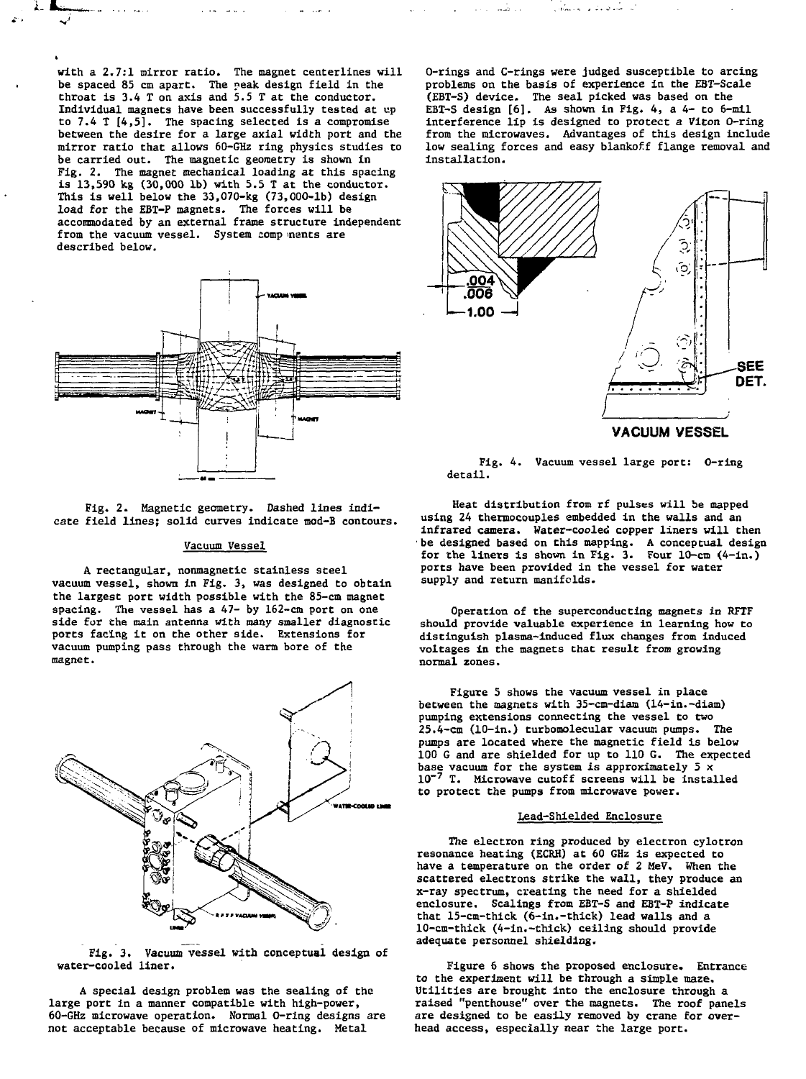with a 2.7:1 mirror ratio. The magnet centerlines will be spaced 85 cm apart. The peak design field in the throat is 3.4 T on axis and 5.5 T at the conductor. Individual magnets have been successfully tested at up to 7.4 T [4,5]. The spacing selected is a compromise between the desire for a large axial width port and the mirror ratio that allows 60-GHz ring physics studies to be carried out. The magnetic geometry is shown in Fig. 2. The magnet mechanical loading at this spacing is 13,590 kg (30,000 lb) with 5.5 T at the conductor. This is well below the 33,070-kg (73,000-lb) design load for the EBT-P magnets. The forces will be accommodated by an external frame structure independent from the vacuum vessel. System comp nents are described below.



Fig. 2. Magnetic geometry. Dashed lines indicate field lines; solid curves indicate mod-B contours.

## Vacuum Vessel

A rectangular, nonmagnetic stainless steel vacuum vessel, shown in Fig. 3, was designed to obtain the largest port width possible with the 85-cm magnet spacing. The vessel has a 47- by 162-cm port on one side for the main antenna with many smaller diagnostic ports facing it on the other side. Extensions for vacuum pumping pass through the warm bore of the magnet.



Fig. 3. Vacuum vessel with conceptual design of water-cooled liner.

A special design problem was the sealing of the large port in a manner compatible with high-power, 60-GHz microwave operation. Normal O-ring designs are not acceptable because of microwave heating. Metal

0-rings and C-rings were judged susceptible to arcing problems on the basis of experience in the EBT-Scale (EBT-S) device. The seal picked was based on the EBT-S design [6]. As shown in Fig. 4, a 4- to 6-mil interference lip is designed to protect a Viton O-ring from the microwaves. Advantages of this design include low sealing forces and easy blankoff flange removal and installation.

للمستأنف فالتكافئ التنابيث والمتأنية



Fig. 4. Vacuum vessel large port: O-ring detail.

Heat distribution from rf pulses will be mapped using 24 thermocouples embedded in the walls and an infrared camera. Water-cooled copper liners will then ' be designed based on this mapping. A conceptual design for the liners is shown in Fig. 3. Four  $10$ -cm  $(4-1n)$ . ports have been provided in the vessel for water supply and return manifolds.

Operation of the superconducting magnets in RFTF should provide valuable experience in learning how to distinguish plasma-induced flux changes from induced voltages in the magnets that result from growing normal zones.

Figure 5 shows the vacuum vessel in place between the magnets with 35-cm-diam (14-in.-diam) pumping extensions connecting the vessel to two 25.4-cm (10-in.) turbomolecular vacuum pumps. The pumps are located where the magnetic field is below 100 G and are shielded for up to 110 G. The expected base vacuum for the system is approximately  $5 \times$ 10~<sup>7</sup> T. Microwave cutoff screens will be installed to protect the pumps from microwave power.

#### Lead-Shielded Enclosure

The electron ring produced by electron cylotron resonance heating (ECRH) at 60 GHz is expected to have a temperature on the order of 2 MeV, When the scattered electrons strike the wall, they produce an x-ray spectrum, creating the need for a shielded enclosure. Scalings from EBT-S and EBT-P indicate that 15-cm-thick (6-in.-thick) lead walls and a 10-cm-thick (4-in.-thick) ceiling should provide adequate personnel shielding.

Figure 6 shows the proposed enclosure. Entrance to the experiment will be through a simple maze. Utilities are brought into the enclosure through a raised "penthouse" over the magnets. The roof panels are designed to be easily removed by crane for overhead access, especially near the large port.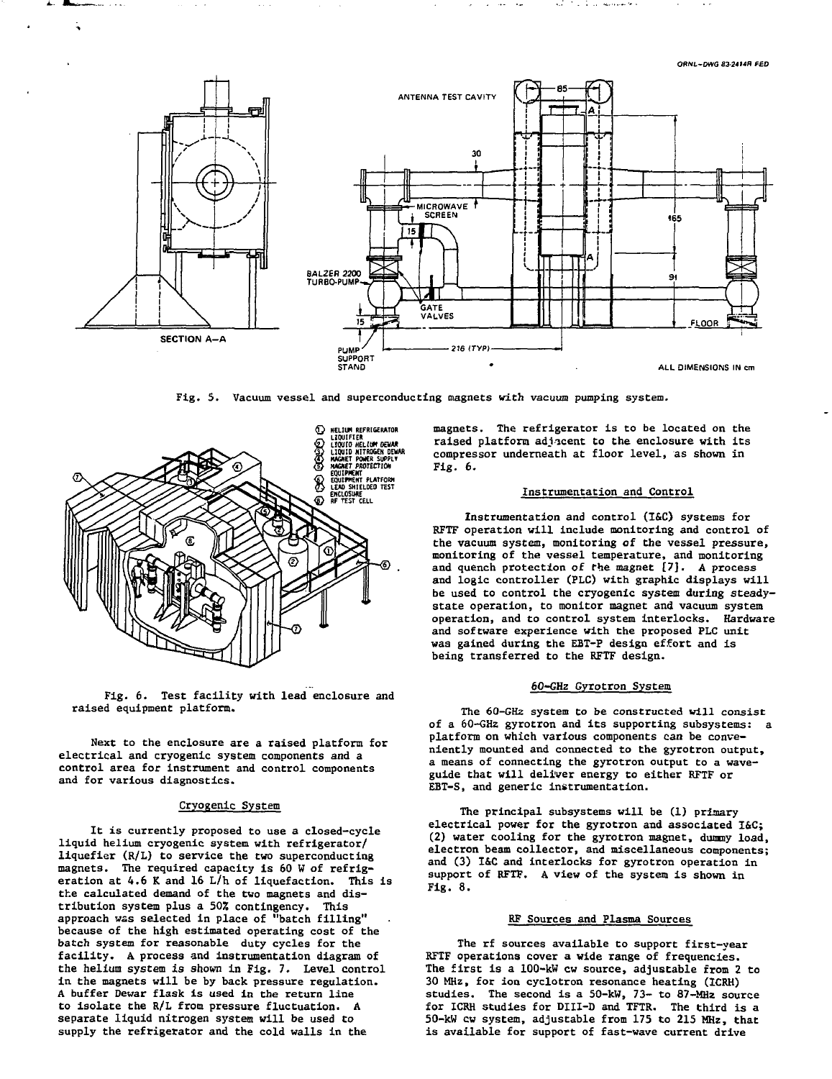**ORML'DWG 83-24t4R FED**



**Fig. 5. Vacuum vessel and superconducting magnets with vacuum pumping system.**





**Next to the enclosure are a raised platform for electrical and cryogenic system components and a control area for instrument and control components and for various diagnostics.**

## **Cryogenic System**

**It is currently proposed to use a closed-cycle liquid helium cryogenic system with refrigerator/ liquefier (R/L) to service the two superconducting magnets. The required capacity is 60 W of refrigeration at 4.6 K and 16 L/h of liquefaction. This is the calculated demand of the two magnets and distribution system plus a 50Z contingency. This approach was selected in place of "batch filling" because of the high estimated operating cost of the batch system for reasonable duty cycles for the facility. A process and instrumentation diagram of the helium system is shown in Fig. 7. Level control in the magnets will be by back pressure regulation. A buffer Dewar flask is used in the return line to isolate the R/L from pressure fluctuation. A separate liquid nitrogen system will be used to supply the refrigerator and the cold walls in the**

**magnets. The refrigerator is to be located on the raised platform adjacent to the enclosure with its compressor underneath at floor level, as shown in Fig. 6.**

## **Instrumentation and Control**

**Instrumentation and control (I&C) systems for RPTF operation will include monitoring and control of the vacuum system, monitoring of the vessel pressure, monitoring of the vessel temperature, and monitoring and quench protection of the magnet [7]. A process and logic controller (FLC) with graphic displays will be used to control the cryogenic system during steadystate operation, to monitor magnet and vacuum system operation, and to control system interlocks. Hardware and software experience with the proposed PLC unit was gained during the EBT-P design effort and is being transferred to the RFTF design.**

#### **60-GHz Gyrotron System**

**The 60-GHz system to be constructed will consist of a 60-GHz gyrotron and its supporting subsystems: a platform on which various components can be conveniently mounted and connected to the gyrotron output, a means of connecting the gyrotron output to a waveguide that will deliver energy to either RFTF or EBT-S, and generic instrumentation.**

**The principal subsystems will be (1) primary electrical power for the gyrotron and associated I&C; (2) water cooling for the gyrotron magnet, dummy load, electron beam collector, and miscellaneous components; and (3) I&C and interlocks for gyrotron operation in support of RFTF. A view of the system is shown in Fig. 8.**

## **RF Sources and Plasma Sources**

**The rf sources available to support first-year RFTF operations cover a wide range of frequencies. The first is a 100-kW cw source, adjustable from 2 to 30 MHz, for ion cyclotron resonance heating (ICRH) studies. The second is a 50-kW, 73- to 87-MHz source for ICRH studies for DIII-D and TFTR. The third is a 50-kW cw system, adjustable from 175 to 215 MHz, that is available for support of fast-wave current drive**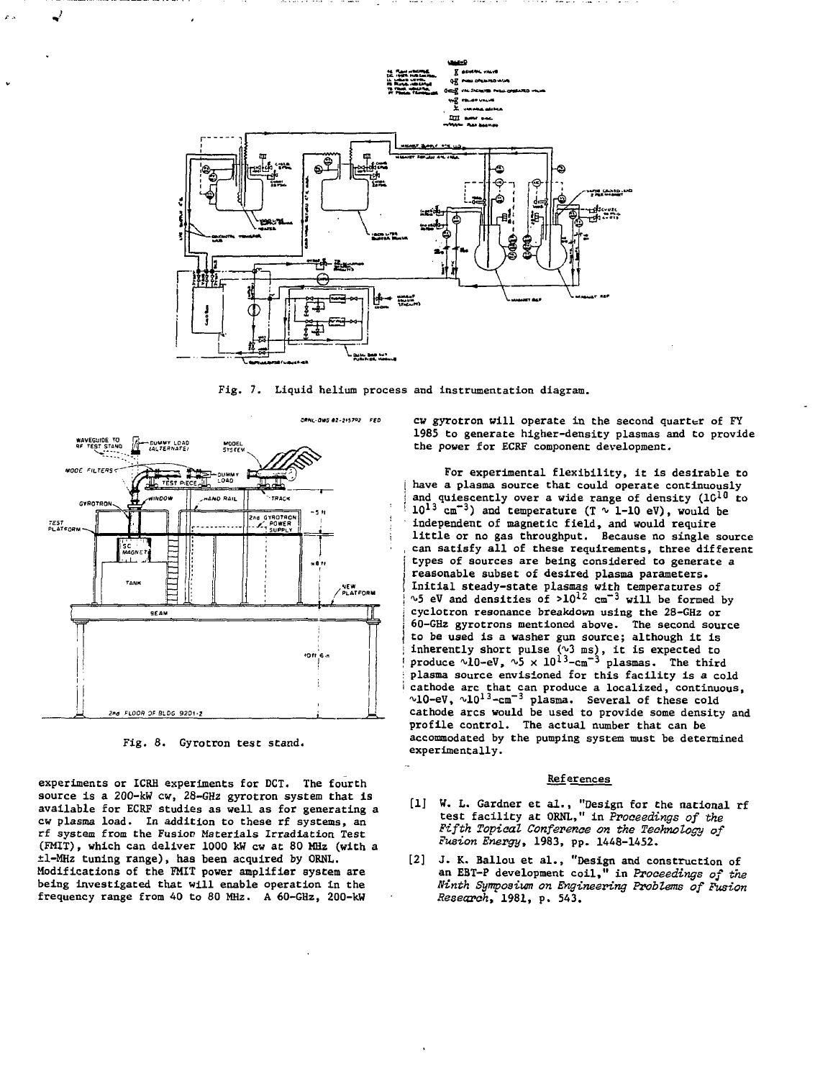

Fig. 7. Liquid helium process and instrumentation diagram.



Fig. 8. Gyrotron test stand.

experiments or ICRH experiments for DCT. The fourth source is a 200-kW cw, 28-GHz gyrotron system that is available for ECRF studies as well as for generating a cw plasma load. In addition to these rf systems, an rf system from the Fusion Materials Irradiation Test (FMIT), which can deliver 1000 kW cw at 80 MHz (with a ±l-MHz tuning range), has been acquired by ORNL. Modifications of the FMIT power amplifier system are being investigated that will enable operation in the frequency range from 40 to 80 MHz. A 60-GHz, 200-kW

cw gyrotron will operate in the second quarter of FY 1985 to generate higher-density plasmas and to provide the power for ECRF component development.

For experimental flexibility, it is desirable to have a plasma source that could operate continuously and quiescently over a wide range of density  $(1C^{10}$  to  $10^{13}$  cm<sup>-3</sup>) and temperature (T  $\sqrt{1-10}$  eV), would be independent of magnetic field, and would require little or no gas throughput. Because no single source can satisfy all of these requirements, three different types of sources are being considered to generate a reasonable subset of desired plasma parameters. ' Initial steady-state plasmas with temperatures of  $\sqrt{5}$  eV and densities of  $>10^{12}$  cm<sup>-3</sup> will be formed by cyclotron resonance breakdown using the 28-GHz or i 60-GHz gyrotrons mentioned above. The second source to be used is a washer gun source; although it is inherently short pulse  $(3 \text{ ms})$ , it is expected to<br>I produce  $210-eV$ ,  $25 \times 10^{13}-cm^{-3}$  plasmas. The third : plasma source envisioned for this facility is a cold  $i$  cathode arc that can produce a localized, continuous,<br> $\gamma$ -10-eV,  $\gamma$ -101<sup>3</sup>-cm<sup>-3</sup> plasma. Several of these cold cathode arcs would be used to provide some density and profile control. The actual number that can be accommodated by the pumping system must be determined experimentally.

#### References

- [1] W. L. Gardner et al., "Design for the national rf test facility at ORNL," in Proceedings of the Fifth Topical Conference on the Technology of Fusion Energy, 1983, pp. 1448-1452.
- [2] J. K. Ballou et al., "Design and construction of an EBT-P development coil," in Proceedings of the Ninth Symposium on Engineering Problems of Fusion Research, 1981, p. 543.